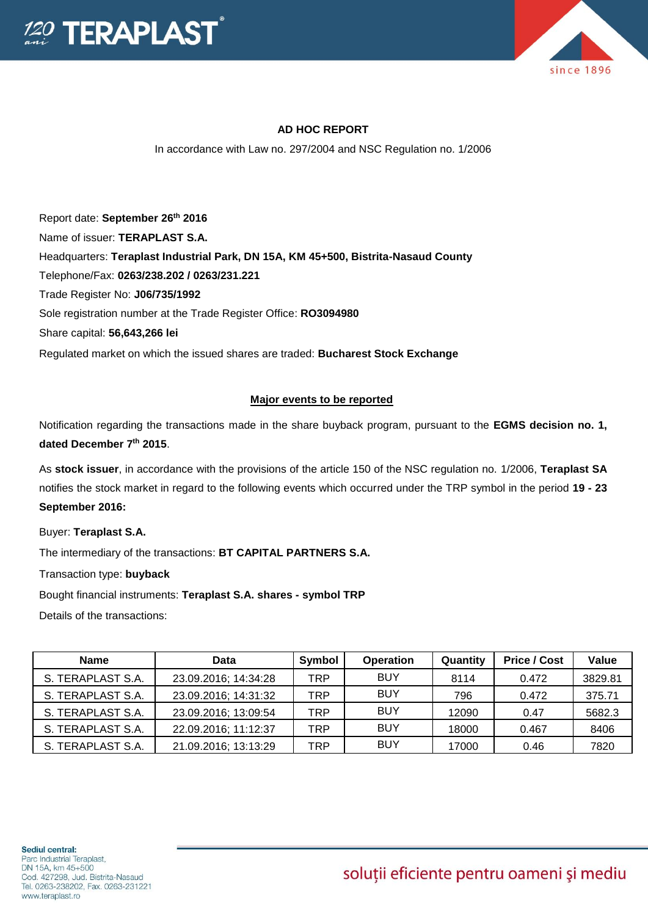



## **AD HOC REPORT**

In accordance with Law no. 297/2004 and NSC Regulation no. 1/2006

Report date: **September 26th 2016** Name of issuer: **TERAPLAST S.A.**  Headquarters: **Teraplast Industrial Park, DN 15A, KM 45+500, Bistrita-Nasaud County** Telephone/Fax: **0263/238.202 / 0263/231.221** Trade Register No: **J06/735/1992** Sole registration number at the Trade Register Office: **RO3094980** Share capital: **56,643,266 lei**  Regulated market on which the issued shares are traded: **Bucharest Stock Exchange**

## **Major events to be reported**

Notification regarding the transactions made in the share buyback program, pursuant to the **EGMS decision no. 1, dated December 7th 2015**.

As **stock issuer**, in accordance with the provisions of the article 150 of the NSC regulation no. 1/2006, **Teraplast SA** notifies the stock market in regard to the following events which occurred under the TRP symbol in the period **19 - 23 September 2016:**

Buyer: **Teraplast S.A.**

The intermediary of the transactions: **BT CAPITAL PARTNERS S.A.**

Transaction type: **buyback**

Bought financial instruments: **Teraplast S.A. shares - symbol TRP**

Details of the transactions:

| <b>Name</b>       | Data                 | <b>Symbol</b> | <b>Operation</b> | Quantity | <b>Price / Cost</b> | Value   |
|-------------------|----------------------|---------------|------------------|----------|---------------------|---------|
| S. TERAPLAST S.A. | 23.09.2016; 14:34:28 | TRP           | <b>BUY</b>       | 8114     | 0.472               | 3829.81 |
| S. TERAPLAST S.A. | 23.09.2016; 14:31:32 | TRP           | <b>BUY</b>       | 796      | 0.472               | 375.71  |
| S. TERAPLAST S.A. | 23.09.2016; 13:09:54 | TRP           | <b>BUY</b>       | 12090    | 0.47                | 5682.3  |
| S. TERAPLAST S.A. | 22.09.2016; 11:12:37 | TRP           | <b>BUY</b>       | 18000    | 0.467               | 8406    |
| S. TERAPLAST S.A. | 21.09.2016; 13:13:29 | TRP           | <b>BUY</b>       | 17000    | 0.46                | 7820    |